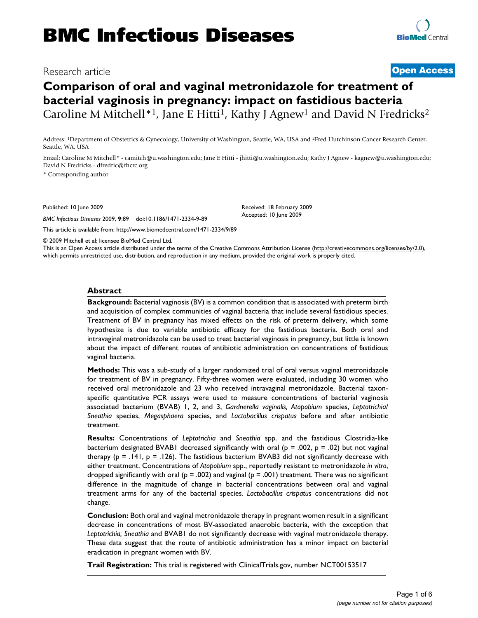# Research article **[Open Access](http://www.biomedcentral.com/info/about/charter/)**

# **Comparison of oral and vaginal metronidazole for treatment of bacterial vaginosis in pregnancy: impact on fastidious bacteria** Caroline M Mitchell<sup>\*1</sup>, Jane E Hitti<sup>1</sup>, Kathy J Agnew<sup>1</sup> and David N Fredricks<sup>2</sup>

Address: 1Department of Obstetrics & Gynecology, University of Washington, Seattle, WA, USA and 2Fred Hutchinson Cancer Research Center, Seattle, WA, USA

Email: Caroline M Mitchell\* - camitch@u.washington.edu; Jane E Hitti - jhitti@u.washington.edu; Kathy J Agnew - kagnew@u.washington.edu; David N Fredricks - dfredric@fhcrc.org

> Received: 18 February 2009 Accepted: 10 June 2009

\* Corresponding author

Published: 10 June 2009

*BMC Infectious Diseases* 2009, **9**:89 doi:10.1186/1471-2334-9-89

[This article is available from: http://www.biomedcentral.com/1471-2334/9/89](http://www.biomedcentral.com/1471-2334/9/89)

© 2009 Mitchell et al; licensee BioMed Central Ltd.

This is an Open Access article distributed under the terms of the Creative Commons Attribution License [\(http://creativecommons.org/licenses/by/2.0\)](http://creativecommons.org/licenses/by/2.0), which permits unrestricted use, distribution, and reproduction in any medium, provided the original work is properly cited.

#### **Abstract**

**Background:** Bacterial vaginosis (BV) is a common condition that is associated with preterm birth and acquisition of complex communities of vaginal bacteria that include several fastidious species. Treatment of BV in pregnancy has mixed effects on the risk of preterm delivery, which some hypothesize is due to variable antibiotic efficacy for the fastidious bacteria. Both oral and intravaginal metronidazole can be used to treat bacterial vaginosis in pregnancy, but little is known about the impact of different routes of antibiotic administration on concentrations of fastidious vaginal bacteria.

**Methods:** This was a sub-study of a larger randomized trial of oral versus vaginal metronidazole for treatment of BV in pregnancy. Fifty-three women were evaluated, including 30 women who received oral metronidazole and 23 who received intravaginal metronidazole. Bacterial taxonspecific quantitative PCR assays were used to measure concentrations of bacterial vaginosis associated bacterium (BVAB) 1, 2, and 3, *Gardnerella vaginalis, Atopobium* species, *Leptotrichia/ Sneathia* species, *Megasphaera* species, and *Lactobacillus crispatus* before and after antibiotic treatment.

**Results:** Concentrations of *Leptotrichia* and *Sneathia* spp. and the fastidious Clostridia-like bacterium designated BVAB1 decreased significantly with oral ( $p = .002$ ,  $p = .02$ ) but not vaginal therapy  $(p = .141, p = .126)$ . The fastidious bacterium BVAB3 did not significantly decrease with either treatment. Concentrations of *Atopobium* spp., reportedly resistant to metronidazole *in vitro*, dropped significantly with oral ( $p = .002$ ) and vaginal ( $p = .001$ ) treatment. There was no significant difference in the magnitude of change in bacterial concentrations between oral and vaginal treatment arms for any of the bacterial species. *Lactobacillus crispatus* concentrations did not change.

**Conclusion:** Both oral and vaginal metronidazole therapy in pregnant women result in a significant decrease in concentrations of most BV-associated anaerobic bacteria, with the exception that *Leptotrichia, Sneathia* and BVAB1 do not significantly decrease with vaginal metronidazole therapy. These data suggest that the route of antibiotic administration has a minor impact on bacterial eradication in pregnant women with BV.

**Trail Registration:** This trial is registered with ClinicalTrials.gov, number NCT00153517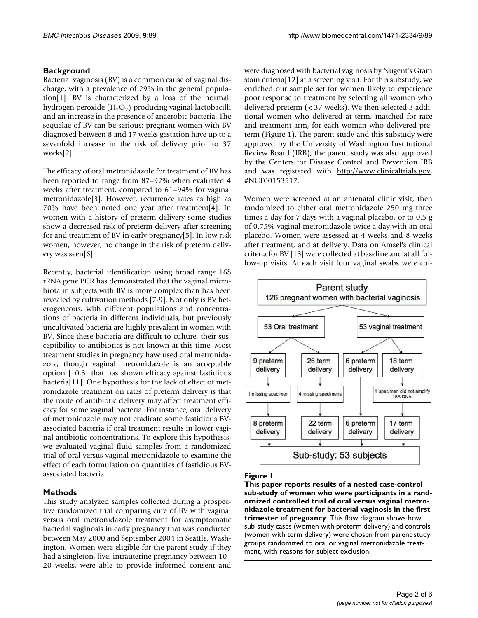## **Background**

Bacterial vaginosis (BV) is a common cause of vaginal discharge, with a prevalence of 29% in the general population[1]. BV is characterized by a loss of the normal, hydrogen peroxide  $(H_2O_2)$ -producing vaginal lactobacilli and an increase in the presence of anaerobic bacteria. The sequelae of BV can be serious; pregnant women with BV diagnosed between 8 and 17 weeks gestation have up to a sevenfold increase in the risk of delivery prior to 37 weeks[2].

The efficacy of oral metronidazole for treatment of BV has been reported to range from 87–92% when evaluated 4 weeks after treatment, compared to 61–94% for vaginal metronidazole[3]. However, recurrence rates as high as 70% have been noted one year after treatment[4]. In women with a history of preterm delivery some studies show a decreased risk of preterm delivery after screening for and treatment of BV in early pregnancy[5]. In low risk women, however, no change in the risk of preterm delivery was seen[6].

Recently, bacterial identification using broad range 16S rRNA gene PCR has demonstrated that the vaginal microbiota in subjects with BV is more complex than has been revealed by cultivation methods [7-9]. Not only is BV heterogeneous, with different populations and concentrations of bacteria in different individuals, but previously uncultivated bacteria are highly prevalent in women with BV. Since these bacteria are difficult to culture, their susceptibility to antibiotics is not known at this time. Most treatment studies in pregnancy have used oral metronidazole, though vaginal metronidazole is an acceptable option [10,3] that has shown efficacy against fastidious bacteria[11]. One hypothesis for the lack of effect of metronidazole treatment on rates of preterm delivery is that the route of antibiotic delivery may affect treatment efficacy for some vaginal bacteria. For instance, oral delivery of metronidazole may not eradicate some fastidious BVassociated bacteria if oral treatment results in lower vaginal antibiotic concentrations. To explore this hypothesis, we evaluated vaginal fluid samples from a randomized trial of oral versus vaginal metronidazole to examine the effect of each formulation on quantities of fastidious BVassociated bacteria.

### **Methods**

This study analyzed samples collected during a prospective randomized trial comparing cure of BV with vaginal versus oral metronidazole treatment for asymptomatic bacterial vaginosis in early pregnancy that was conducted between May 2000 and September 2004 in Seattle, Washington. Women were eligible for the parent study if they had a singleton, live, intrauterine pregnancy between 10– 20 weeks, were able to provide informed consent and

were diagnosed with bacterial vaginosis by Nugent's Gram stain criteria[12] at a screening visit. For this substudy, we enriched our sample set for women likely to experience poor response to treatment by selecting all women who delivered preterm (< 37 weeks). We then selected 3 additional women who delivered at term, matched for race and treatment arm, for each woman who delivered preterm (Figure 1). The parent study and this substudy were approved by the University of Washington Institutional Review Board (IRB); the parent study was also approved by the Centers for Disease Control and Prevention IRB and was registered with [http://www.clinicaltrials.gov,](http://www.clinicaltrials.gov) #NCT00153517.

Women were screened at an antenatal clinic visit, then randomized to either oral metronidazole 250 mg three times a day for 7 days with a vaginal placebo, or to 0.5 g of 0.75% vaginal metronidazole twice a day with an oral placebo. Women were assessed at 4 weeks and 8 weeks after treatment, and at delivery. Data on Amsel's clinical criteria for BV [13] were collected at baseline and at all follow-up visits. At each visit four vaginal swabs were col-



#### Figure I

**This paper reports results of a nested case-control sub-study of women who were participants in a randomized controlled trial of oral versus vaginal metronidazole treatment for bacterial vaginosis in the first trimester of pregnancy**. This flow diagram shows how sub-study cases (women with preterm delivery) and controls (women with term delivery) were chosen from parent study groups randomized to oral or vaginal metronidazole treatment, with reasons for subject exclusion.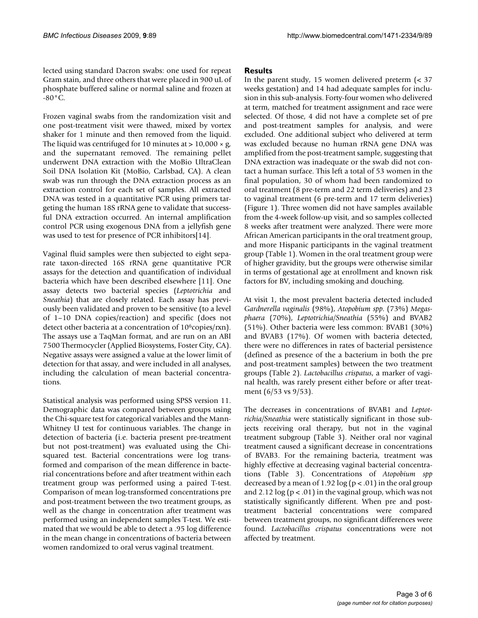lected using standard Dacron swabs: one used for repeat Gram stain, and three others that were placed in 900 uL of phosphate buffered saline or normal saline and frozen at  $-80^{\circ}$ C.

Frozen vaginal swabs from the randomization visit and one post-treatment visit were thawed, mixed by vortex shaker for 1 minute and then removed from the liquid. The liquid was centrifuged for 10 minutes at  $> 10,000 \times g$ , and the supernatant removed. The remaining pellet underwent DNA extraction with the MoBio UltraClean Soil DNA Isolation Kit (MoBio, Carlsbad, CA). A clean swab was run through the DNA extraction process as an extraction control for each set of samples. All extracted DNA was tested in a quantitative PCR using primers targeting the human 18S rRNA gene to validate that successful DNA extraction occurred. An internal amplification control PCR using exogenous DNA from a jellyfish gene was used to test for presence of PCR inhibitors[14].

Vaginal fluid samples were then subjected to eight separate taxon-directed 16S rRNA gene quantitative PCR assays for the detection and quantification of individual bacteria which have been described elsewhere [11]. One assay detects two bacterial species (*Leptotrichia* and *Sneathia*) that are closely related. Each assay has previously been validated and proven to be sensitive (to a level of 1–10 DNA copies/reaction) and specific (does not detect other bacteria at a concentration of  $10<sup>6</sup>$ copies/rxn). The assays use a TaqMan format, and are run on an ABI 7500 Thermocycler (Applied Biosystems, Foster City, CA). Negative assays were assigned a value at the lower limit of detection for that assay, and were included in all analyses, including the calculation of mean bacterial concentrations.

Statistical analysis was performed using SPSS version 11. Demographic data was compared between groups using the Chi-square test for categorical variables and the Mann-Whitney U test for continuous variables. The change in detection of bacteria (i.e. bacteria present pre-treatment but not post-treatment) was evaluated using the Chisquared test. Bacterial concentrations were log transformed and comparison of the mean difference in bacterial concentrations before and after treatment within each treatment group was performed using a paired T-test. Comparison of mean log-transformed concentrations pre and post-treatment between the two treatment groups, as well as the change in concentration after treatment was performed using an independent samples T-test. We estimated that we would be able to detect a .95 log difference in the mean change in concentrations of bacteria between women randomized to oral verus vaginal treatment.

# **Results**

In the parent study, 15 women delivered preterm (< 37 weeks gestation) and 14 had adequate samples for inclusion in this sub-analysis. Forty-four women who delivered at term, matched for treatment assignment and race were selected. Of those, 4 did not have a complete set of pre and post-treatment samples for analysis, and were excluded. One additional subject who delivered at term was excluded because no human rRNA gene DNA was amplified from the post-treatment sample, suggesting that DNA extraction was inadequate or the swab did not contact a human surface. This left a total of 53 women in the final population, 30 of whom had been randomized to oral treatment (8 pre-term and 22 term deliveries) and 23 to vaginal treatment (6 pre-term and 17 term deliveries) (Figure 1). Three women did not have samples available from the 4-week follow-up visit, and so samples collected 8 weeks after treatment were analyzed. There were more African American participants in the oral treatment group, and more Hispanic participants in the vaginal treatment group (Table 1). Women in the oral treatment group were of higher gravidity, but the groups were otherwise similar in terms of gestational age at enrollment and known risk factors for BV, including smoking and douching.

At visit 1, the most prevalent bacteria detected included *Gardnerella vaginalis* (98%), *Atopobium spp*. (73%) *Megasphaera* (70%), *Leptotrichia/Sneathia* (55%) and BVAB2 (51%). Other bacteria were less common: BVAB1 (30%) and BVAB3 (17%). Of women with bacteria detected, there were no differences in rates of bacterial persistence (defined as presence of the a bacterium in both the pre and post-treatment samples) between the two treatment groups (Table 2). *Lactobacillus crispatus*, a marker of vaginal health, was rarely present either before or after treatment (6/53 vs 9/53).

The decreases in concentrations of BVAB1 and *Leptotrichia/Sneathia* were statistically significant in those subjects receiving oral therapy, but not in the vaginal treatment subgroup (Table 3). Neither oral nor vaginal treatment caused a significant decrease in concentrations of BVAB3. For the remaining bacteria, treatment was highly effective at decreasing vaginal bacterial concentrations (Table 3). Concentrations of *Atopobium spp* decreased by a mean of 1.92  $log (p < .01)$  in the oral group and 2.12  $\log$  (p < .01) in the vaginal group, which was not statistically significantly different. When pre and posttreatment bacterial concentrations were compared between treatment groups, no significant differences were found. *Lactobacillus crispatus* concentrations were not affected by treatment.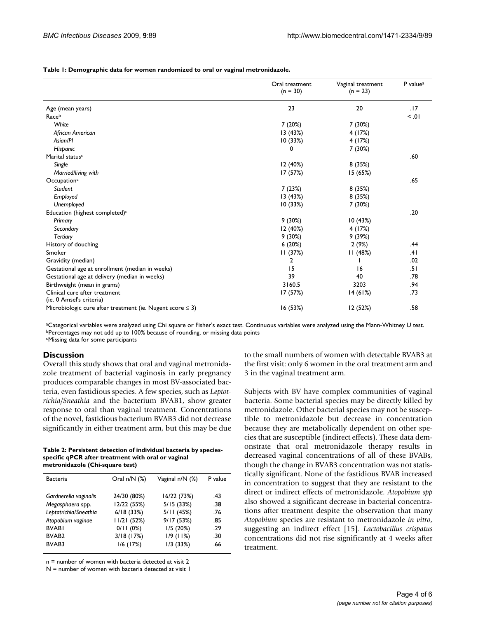**Table 1: Demographic data for women randomized to oral or vaginal metronidazole.**

|                                                                | Oral treatment<br>$(n = 30)$ | Vaginal treatment<br>$(n = 23)$ | P value <sup>a</sup> |
|----------------------------------------------------------------|------------------------------|---------------------------------|----------------------|
| Age (mean years)                                               | 23                           | 20                              | .17                  |
| Raceb                                                          |                              |                                 | 0.                   |
| White                                                          | 7 (20%)                      | 7 (30%)                         |                      |
| African American                                               | 13(43%)                      | 4(17%)                          |                      |
| Asian/PI                                                       | 10(33%)                      | 4(17%)                          |                      |
| Hispanic                                                       | 0                            | 7 (30%)                         |                      |
| Marital status <sup>c</sup>                                    |                              |                                 | .60                  |
| Single                                                         | 12(40%)                      | 8 (35%)                         |                      |
| Married/living with                                            | 17 (57%)                     | 15 (65%)                        |                      |
| Occupation <sup>c</sup>                                        |                              |                                 | .65                  |
| Student                                                        | 7(23%)                       | 8(35%)                          |                      |
| Employed                                                       | 13(43%)                      | 8 (35%)                         |                      |
| Unemployed                                                     | 10(33%)                      | 7 (30%)                         |                      |
| Education (highest completed) <sup>c</sup>                     |                              |                                 | .20                  |
| Primary                                                        | 9(30%)                       | 10(43%)                         |                      |
| Secondary                                                      | 12 (40%)                     | 4 (17%)                         |                      |
| <b>Tertiary</b>                                                | 9(30%)                       | 9(39%)                          |                      |
| History of douching                                            | 6(20%)                       | 2(9%)                           | .44                  |
| Smoker                                                         | 11(37%)                      | 11 (48%)                        | .41                  |
| Gravidity (median)                                             | 2                            |                                 | .02                  |
| Gestational age at enrollment (median in weeks)                | 15                           | 16                              | .51                  |
| Gestational age at delivery (median in weeks)                  | 39                           | 40                              | .78                  |
| Birthweight (mean in grams)                                    | 3160.5                       | 3203                            | .94                  |
| Clinical cure after treatment                                  | 17 (57%)                     | 14(61%)                         | .73                  |
| (ie. 0 Amsel's criteria)                                       |                              |                                 |                      |
| Microbiologic cure after treatment (ie. Nugent score $\leq$ 3) | 16 (53%)                     | 12 (52%)                        | .58                  |

aCategorical variables were analyzed using Chi square or Fisher's exact test. Continuous variables were analyzed using the Mann-Whitney U test. bPercentages may not add up to 100% because of rounding, or missing data points cMissing data for some participants

# **Discussion**

Overall this study shows that oral and vaginal metronidazole treatment of bacterial vaginosis in early pregnancy produces comparable changes in most BV-associated bacteria, even fastidious species. A few species, such as *Leptotrichia/Sneathia* and the bacterium BVAB1, show greater response to oral than vaginal treatment. Concentrations of the novel, fastidious bacterium BVAB3 did not decrease significantly in either treatment arm, but this may be due

#### **Table 2: Persistent detection of individual bacteria by speciesspecific qPCR after treatment with oral or vaginal metronidazole (Chi-square test)**

| <b>Bacteria</b>       | Oral $n/N$ $(\%)$ | Vaginal n/N (%) | P value |
|-----------------------|-------------------|-----------------|---------|
| Gardnerella vaginalis | 24/30 (80%)       | 16/22 (73%)     | .43     |
| Megasphaera spp.      | 12/22 (55%)       | 5/15(33%)       | .38     |
| Leptotrichia/Sneathia | 6/18(33%)         | 5/11(45%)       | .76     |
| Atopobium vaginae     | 11/21(52%)        | 9/17(53%)       | .85     |
| <b>BVABI</b>          | 0/11(0%)          | 1/5(20%)        | .29     |
| BVAB <sub>2</sub>     | 3/18(17%)         | $1/9$ (11%)     | .30     |
| BVAB3                 | $1/6$ (17%)       | $1/3$ (33%)     | .66     |
|                       |                   |                 |         |

n = number of women with bacteria detected at visit 2

 $N$  = number of women with bacteria detected at visit  $1$ 

to the small numbers of women with detectable BVAB3 at the first visit: only 6 women in the oral treatment arm and 3 in the vaginal treatment arm.

Subjects with BV have complex communities of vaginal bacteria. Some bacterial species may be directly killed by metronidazole. Other bacterial species may not be susceptible to metronidazole but decrease in concentration because they are metabolically dependent on other species that are susceptible (indirect effects). These data demonstrate that oral metronidazole therapy results in decreased vaginal concentrations of all of these BVABs, though the change in BVAB3 concentration was not statistically significant. None of the fastidious BVAB increased in concentration to suggest that they are resistant to the direct or indirect effects of metronidazole. *Atopobium spp* also showed a significant decrease in bacterial concentrations after treatment despite the observation that many *Atopobium* species are resistant to metronidazole *in vitro*, suggesting an indirect effect [15]. *Lactobacillus crispatus* concentrations did not rise significantly at 4 weeks after treatment.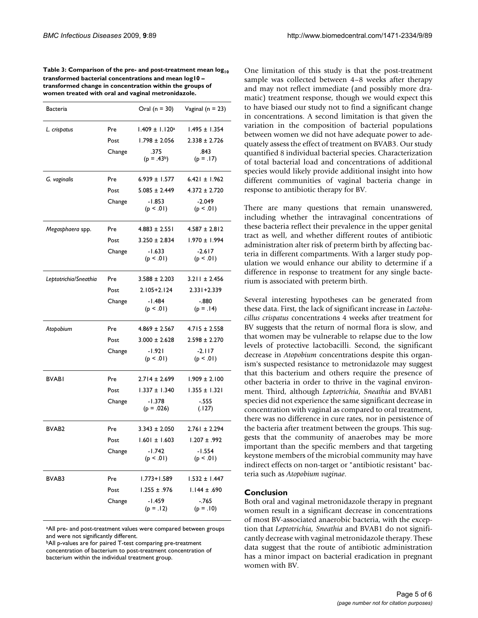Table 3: Comparison of the pre- and post-treatment mean  $log_{10}$ **transformed bacterial concentrations and mean log10 – transformed change in concentration within the groups of women treated with oral and vaginal metronidazole.**

| Bacteria              |        | Oral ( $n = 30$ )              | Vaginal ( $n = 23$ )  |  |
|-----------------------|--------|--------------------------------|-----------------------|--|
| L. crispatus          | Pre    | $1.409 \pm 1.120$ <sup>a</sup> | $1.495 \pm 1.354$     |  |
|                       | Post   | $1.798 \pm 2.056$              | $2.338 \pm 2.726$     |  |
|                       | Change | .375<br>$(p = .43b)$           | .843<br>$(p = .17)$   |  |
| G. vaginalis          | Pre    | $6.939 \pm 1.577$              | $6.421 \pm 1.962$     |  |
|                       | Post   | $5.085 \pm 2.449$              | $4.372 \pm 2.720$     |  |
|                       | Change | $-1.853$<br>(p < .01)          | $-2.049$<br>(p < .01) |  |
| Megasphaera spp.      | Pre    | $4.883 \pm 2.551$              | $4.587 \pm 2.812$     |  |
|                       | Post   | $3.250 \pm 2.834$              | $1.970 \pm 1.994$     |  |
|                       | Change | $-1.633$<br>(p < .01)          | $-2.617$<br>(p < .01) |  |
| Leptotrichia/Sneathia | Pre    | $3.588 \pm 2.203$              | $3.211 \pm 2.456$     |  |
|                       | Post   | 2.105+2.124                    | 2.331+2.339           |  |
|                       | Change | $-1.484$<br>(p < .01)          | -.880<br>$(p = .14)$  |  |
| Atopobium             | Pre    | $4.869 \pm 2.567$              | $4.715 \pm 2.558$     |  |
|                       | Post   | $3.000 \pm 2.628$              | $2.598 \pm 2.270$     |  |
|                       | Change | -1.921<br>(p < .01)            | $-2.117$<br>(p < .01) |  |
| BVABI                 | Pre    | $2.714 \pm 2.699$              | $1.909 \pm 2.100$     |  |
|                       | Post   | $1.337 \pm 1.340$              | $1.355 \pm 1.321$     |  |
|                       | Change | $-1.378$<br>$(p = .026)$       | $-555$<br>(.127)      |  |
| BVAB2                 | Pre    | $3.343 \pm 2.050$              | $2.761 \pm 2.294$     |  |
|                       | Post   | $1.601 \pm 1.603$              | $1.207 \pm .992$      |  |
|                       | Change | -1.742<br>(p < .01)            | -1.554<br>(p < .01)   |  |
| BVAB3                 | Pre    | 1.773+1.589                    | $1.532 \pm 1.447$     |  |
|                       | Post   | $1.255 \pm .976$               | $1.144 \pm .690$      |  |
|                       | Change | -1.459<br>$(p = .12)$          | -.765<br>$(p = .10)$  |  |

aAll pre- and post-treatment values were compared between groups and were not significantly different.

bAll p-values are for paired T-test comparing pre-treatment concentration of bacterium to post-treatment concentration of bacterium within the individual treatment group.

One limitation of this study is that the post-treatment sample was collected between 4–8 weeks after therapy and may not reflect immediate (and possibly more dramatic) treatment response, though we would expect this to have biased our study not to find a significant change in concentrations. A second limitation is that given the variation in the composition of bacterial populations between women we did not have adequate power to adequately assess the effect of treatment on BVAB3. Our study quantified 8 individual bacterial species. Characterization of total bacterial load and concentrations of additional species would likely provide additional insight into how different communities of vaginal bacteria change in response to antibiotic therapy for BV.

There are many questions that remain unanswered, including whether the intravaginal concentrations of these bacteria reflect their prevalence in the upper genital tract as well, and whether different routes of antibiotic administration alter risk of preterm birth by affecting bacteria in different compartments. With a larger study population we would enhance our ability to determine if a difference in response to treatment for any single bacterium is associated with preterm birth.

Several interesting hypotheses can be generated from these data. First, the lack of significant increase in *Lactobacillus crispatus* concentrations 4 weeks after treatment for BV suggests that the return of normal flora is slow, and that women may be vulnerable to relapse due to the low levels of protective lactobacilli. Second, the significant decrease in *Atopobium* concentrations despite this organism's suspected resistance to metronidazole may suggest that this bacterium and others require the presence of other bacteria in order to thrive in the vaginal environment. Third, although *Leptotrichia*, *Sneathia* and BVAB1 species did not experience the same significant decrease in concentration with vaginal as compared to oral treatment, there was no difference in cure rates, nor in persistence of the bacteria after treatment between the groups. This suggests that the community of anaerobes may be more important than the specific members and that targeting keystone members of the microbial community may have indirect effects on non-target or "antibiotic resistant" bacteria such as *Atopobium vaginae*.

#### **Conclusion**

Both oral and vaginal metronidazole therapy in pregnant women result in a significant decrease in concentrations of most BV-associated anaerobic bacteria, with the exception that *Leptotrichia, Sneathia* and BVAB1 do not significantly decrease with vaginal metronidazole therapy. These data suggest that the route of antibiotic administration has a minor impact on bacterial eradication in pregnant women with BV.